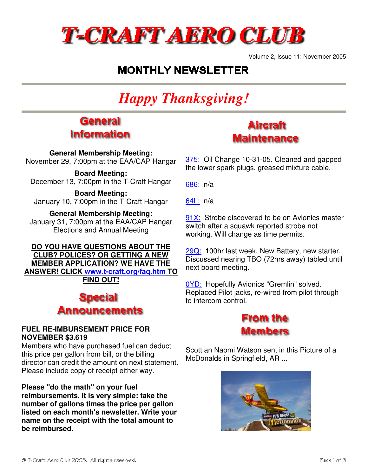

Volume 2, Issue 11: November 2005

### **MONTHLY NEWSLETTER**

# *Happy Thanksgiving!*

### **General Information**

**General Membership Meeting:** November 29, 7:00pm at the EAA/CAP Hangar

#### **Board Meeting:**

December 13, 7:00pm in the T-Craft Hangar

**Board Meeting:** January 10, 7:00pm in the T-Craft Hangar

#### **General Membership Meeting:**

January 31, 7:00pm at the EAA/CAP Hangar Elections and Annual Meeting

**DO YOU HAVE QUESTIONS ABOUT THE CLUB? POLICES? OR GETTING A NEW MEMBER APPLICATION? WE HAVE THE ANSWER! CLICK www.t-craft.org/faq.htm TO FIND OUT!**

### **Special** Announcements

#### **FUEL RE-IMBURSEMENT PRICE FOR NOVEMBER \$3.619**

Members who have purchased fuel can deduct this price per gallon from bill, or the billing director can credit the amount on next statement. Please include copy of receipt either way.

**Please "do the math" on your fuel reimbursements. It is very simple: take the number of gallons times the price per gallon listed on each month's newsletter. Write your name on the receipt with the total amount to be reimbursed.** 

### **Aircraft Maintenance**

375: Oil Change 10-31-05. Cleaned and gapped the lower spark plugs, greased mixture cable.

686: n/a

64L: n/a

91X: Strobe discovered to be on Avionics master switch after a squawk reported strobe not working. Will change as time permits.

29Q: 100hr last week. New Battery, new starter. Discussed nearing TBO (72hrs away) tabled until next board meeting.

0YD: Hopefully Avionics "Gremlin" solved. Replaced Pilot jacks, re-wired from pilot through to intercom control.



Scott an Naomi Watson sent in this Picture of a McDonalds in Springfield, AR ...

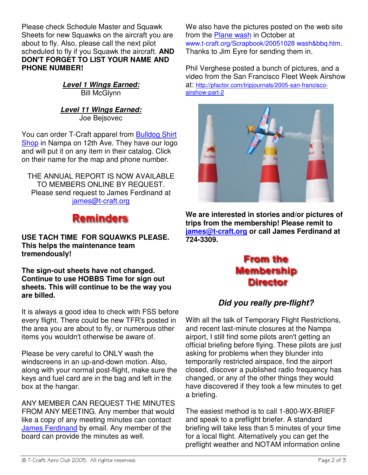Please check Schedule Master and Squawk Sheets for new Squawks on the aircraft you are about to fly. Also, please call the next pilot scheduled to fly if you Squawk the aircraft. **AND DON'T FORGET TO LIST YOUR NAME AND PHONE NUMBER!**

> **Level 1 Wings Earned: Bill McGlynn**

**Level 11 Wings Earned:** Joe Bejsovec

You can order T-Craft apparel from **Bulldog Shirt** Shop in Nampa on 12th Ave. They have our logo and will put it on any item in their catalog. Click on their name for the map and phone number.

THE ANNUAL REPORT IS NOW AVAILABLE TO MEMBERS ONLINE BY REQUEST. Please send request to James Ferdinand at james@t-craft.org

# **Reminders**

**USE TACH TIME FOR SQUAWKS PLEASE. This helps the maintenance team tremendously!**

**The sign-out sheets have not changed. Continue to use HOBBS Time for sign out sheets. This will continue to be the way you are billed.**

It is always a good idea to check with FSS before every flight. There could be new TFR's posted in the area you are about to fly, or numerous other items you wouldn't otherwise be aware of.

Please be very careful to ONLY wash the windscreens in an up-and-down motion. Also, along with your normal post-flight, make sure the keys and fuel card are in the bag and left in the box at the hangar.

ANY MEMBER CAN REQUEST THE MINUTES FROM ANY MEETING. Any member that would like a copy of any meeting minutes can contact James Ferdinand by email. Any member of the board can provide the minutes as well.

We also have the pictures posted on the web site from the Plane wash in October at www.t-craft.org/Scrapbook/20051028 wash&bbq.htm. Thanks to Jim Eyre for sending them in.

Phil Verghese posted a bunch of pictures, and a video from the San Francisco Fleet Week Airshow at: http://pfactor.com/tripjournals/2005-san-franciscoairshow-part-2



**We are interested in stories and/or pictures of trips from the membership! Please remit to james@t-craft.org or call James Ferdinand at 724-3309.**

### **From the Membership Director**

### **Did you really pre-flight?**

With all the talk of Temporary Flight Restrictions, and recent last-minute closures at the Nampa airport, I still find some pilots aren't getting an official briefing before flying. These pilots are just asking for problems when they blunder into temporarily restricted airspace, find the airport closed, discover a published radio frequency has changed, or any of the other things they would have discovered if they took a few minutes to get a briefing.

The easiest method is to call 1-800-WX-BRIEF and speak to a preflight briefer. A standard briefing will take less than 5 minutes of your time for a local flight. Alternatively you can get the preflight weather and NOTAM information online